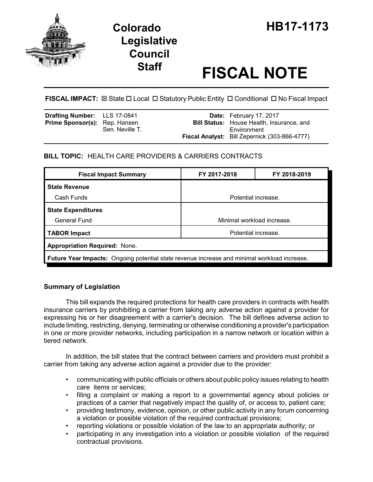



# **Staff FISCAL NOTE**

**FISCAL IMPACT:**  $\boxtimes$  **State □ Local □ Statutory Public Entity □ Conditional □ No Fiscal Impact** 

| <b>Drafting Number:</b> LLS 17-0841 |                 | Date: February 17, 2017                                         |
|-------------------------------------|-----------------|-----------------------------------------------------------------|
| Prime Sponsor(s): Rep. Hansen       | Sen. Neville T. | <b>Bill Status:</b> House Health, Insurance, and<br>Environment |
|                                     |                 | Fiscal Analyst: Bill Zepernick (303-866-4777)                   |

## **BILL TOPIC:** HEALTH CARE PROVIDERS & CARRIERS CONTRACTS

| <b>Fiscal Impact Summary</b>                                                                 | FY 2017-2018               | FY 2018-2019 |  |  |  |
|----------------------------------------------------------------------------------------------|----------------------------|--------------|--|--|--|
| <b>State Revenue</b>                                                                         |                            |              |  |  |  |
| Cash Funds                                                                                   | Potential increase.        |              |  |  |  |
| <b>State Expenditures</b>                                                                    |                            |              |  |  |  |
| General Fund                                                                                 | Minimal workload increase. |              |  |  |  |
| <b>TABOR Impact</b>                                                                          | Potential increase.        |              |  |  |  |
| <b>Appropriation Required: None.</b>                                                         |                            |              |  |  |  |
| Future Year Impacts: Ongoing potential state revenue increase and minimal workload increase. |                            |              |  |  |  |

### **Summary of Legislation**

This bill expands the required protections for health care providers in contracts with health insurance carriers by prohibiting a carrier from taking any adverse action against a provider for expressing his or her disagreement with a carrier's decision. The bill defines adverse action to include limiting, restricting, denying, terminating or otherwise conditioning a provider's participation in one or more provider networks, including participation in a narrow network or location within a tiered network.

In addition, the bill states that the contract between carriers and providers must prohibit a carrier from taking any adverse action against a provider due to the provider:

- communicating with public officials or others about public policy issues relating to health care items or services;
- filing a complaint or making a report to a governmental agency about policies or practices of a carrier that negatively impact the quality of, or access to, patient care;
- providing testimony, evidence, opinion, or other public activity in any forum concerning a violation or possible violation of the required contractual provisions;
- reporting violations or possible violation of the law to an appropriate authority; or
- participating in any investigation into a violation or possible violation of the required contractual provisions.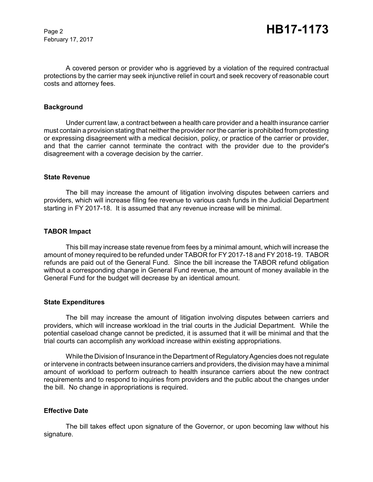February 17, 2017

A covered person or provider who is aggrieved by a violation of the required contractual protections by the carrier may seek injunctive relief in court and seek recovery of reasonable court costs and attorney fees.

#### **Background**

Under current law, a contract between a health care provider and a health insurance carrier must contain a provision stating that neither the provider nor the carrier is prohibited from protesting or expressing disagreement with a medical decision, policy, or practice of the carrier or provider, and that the carrier cannot terminate the contract with the provider due to the provider's disagreement with a coverage decision by the carrier.

#### **State Revenue**

The bill may increase the amount of litigation involving disputes between carriers and providers, which will increase filing fee revenue to various cash funds in the Judicial Department starting in FY 2017-18. It is assumed that any revenue increase will be minimal.

#### **TABOR Impact**

This bill may increase state revenue from fees by a minimal amount, which will increase the amount of money required to be refunded under TABOR for FY 2017-18 and FY 2018-19. TABOR refunds are paid out of the General Fund. Since the bill increase the TABOR refund obligation without a corresponding change in General Fund revenue, the amount of money available in the General Fund for the budget will decrease by an identical amount.

#### **State Expenditures**

The bill may increase the amount of litigation involving disputes between carriers and providers, which will increase workload in the trial courts in the Judicial Department. While the potential caseload change cannot be predicted, it is assumed that it will be minimal and that the trial courts can accomplish any workload increase within existing appropriations.

While the Division of Insurance in the Department of Regulatory Agencies does not regulate or intervene in contracts between insurance carriers and providers, the division may have a minimal amount of workload to perform outreach to health insurance carriers about the new contract requirements and to respond to inquiries from providers and the public about the changes under the bill. No change in appropriations is required.

#### **Effective Date**

The bill takes effect upon signature of the Governor, or upon becoming law without his signature.